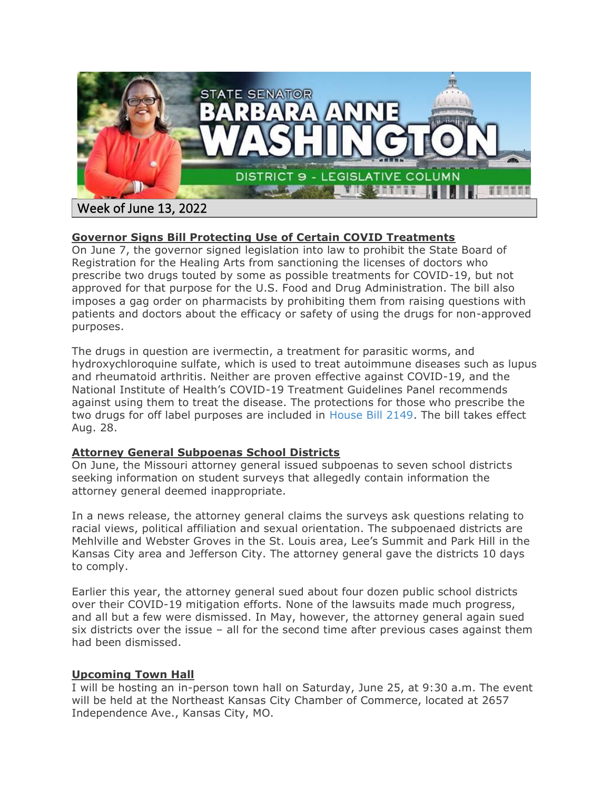

# **Governor Signs Bill Protecting Use of Certain COVID Treatments**

On June 7, the governor signed legislation into law to prohibit the State Board of Registration for the Healing Arts from sanctioning the licenses of doctors who prescribe two drugs touted by some as possible treatments for COVID-19, but not approved for that purpose for the U.S. Food and Drug Administration. The bill also imposes a gag order on pharmacists by prohibiting them from raising questions with patients and doctors about the efficacy or safety of using the drugs for non-approved purposes.

The drugs in question are ivermectin, a treatment for parasitic worms, and hydroxychloroquine sulfate, which is used to treat autoimmune diseases such as lupus and rheumatoid arthritis. Neither are proven effective against COVID-19, and the National Institute of Health's COVID-19 Treatment Guidelines Panel recommends against using them to treat the disease. The protections for those who prescribe the two drugs for off label purposes are included in [House Bill 2149.](https://house.mo.gov/Bill.aspx?bill=HB2149&year=2022&code=R) The bill takes effect Aug. 28.

#### **Attorney General Subpoenas School Districts**

On June, the Missouri attorney general issued subpoenas to seven school districts seeking information on student surveys that allegedly contain information the attorney general deemed inappropriate.

In a news release, the attorney general claims the surveys ask questions relating to racial views, political affiliation and sexual orientation. The subpoenaed districts are Mehlville and Webster Groves in the St. Louis area, Lee's Summit and Park Hill in the Kansas City area and Jefferson City. The attorney general gave the districts 10 days to comply.

Earlier this year, the attorney general sued about four dozen public school districts over their COVID-19 mitigation efforts. None of the lawsuits made much progress, and all but a few were dismissed. In May, however, the attorney general again sued six districts over the issue – all for the second time after previous cases against them had been dismissed.

#### **Upcoming Town Hall**

I will be hosting an in-person town hall on Saturday, June 25, at 9:30 a.m. The event will be held at the Northeast Kansas City Chamber of Commerce, located at 2657 Independence Ave., Kansas City, MO.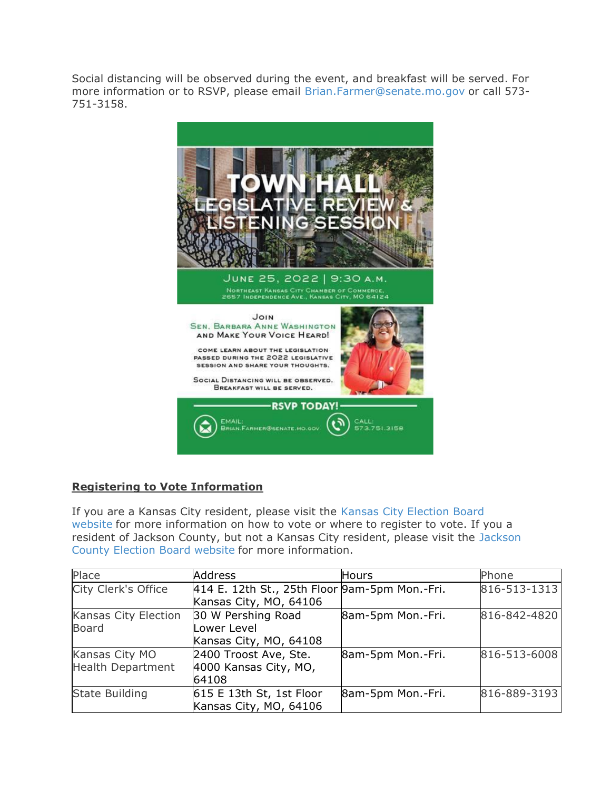Social distancing will be observed during the event, and breakfast will be served. For more information or to RSVP, please email [Brian.Farmer@senate.mo.gov](mailto:Brian.Farmer@senate.mo.gov) or call 573- 751-3158.



# **Registering to Vote Information**

If you are a Kansas City resident, please visit the [Kansas City Election Board](https://www.kceb.org/)  [website](https://www.kceb.org/) for more information on how to vote or where to register to vote. If you a resident of Jackson County, but not a Kansas City resident, please visit the [Jackson](https://jcebmo.org/voter-information/registration/)  [County Election Board website](https://jcebmo.org/voter-information/registration/) for more information.

| Place                    | <b>Address</b>                                | <b>Hours</b>      | Phone        |
|--------------------------|-----------------------------------------------|-------------------|--------------|
| City Clerk's Office      | 414 E. 12th St., 25th Floor 9am-5pm Mon.-Fri. |                   | 816-513-1313 |
|                          | Kansas City, MO, 64106                        |                   |              |
| Kansas City Election     | 30 W Pershing Road                            | 8am-5pm Mon.-Fri. | 816-842-4820 |
| <b>Board</b>             | Lower Level                                   |                   |              |
|                          | Kansas City, MO, 64108                        |                   |              |
| Kansas City MO           | 2400 Troost Ave, Ste.                         | 8am-5pm Mon.-Fri. | 816-513-6008 |
| <b>Health Department</b> | 4000 Kansas City, MO,                         |                   |              |
|                          | 64108                                         |                   |              |
| <b>State Building</b>    | $615$ E 13th St, 1st Floor                    | 8am-5pm Mon.-Fri. | 816-889-3193 |
|                          | Kansas City, MO, 64106                        |                   |              |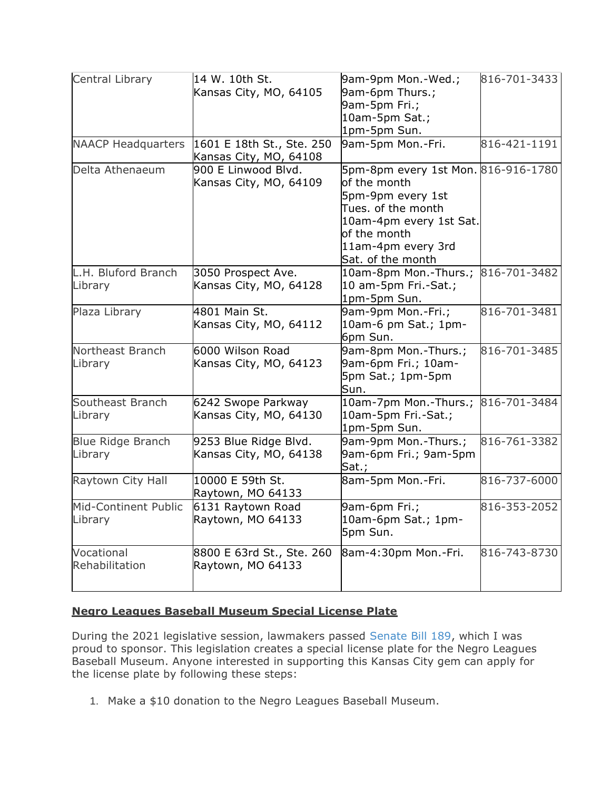| Central Library           | 14 W. 10th St.                                      | 9am-9pm Mon.-Wed.;                  | 816-701-3433 |
|---------------------------|-----------------------------------------------------|-------------------------------------|--------------|
|                           | Kansas City, MO, 64105                              | 9am-6pm Thurs.;                     |              |
|                           |                                                     | 9am-5pm Fri.;                       |              |
|                           |                                                     | 10am-5pm Sat.;                      |              |
|                           |                                                     | 1pm-5pm Sun.                        |              |
| <b>NAACP Headquarters</b> | 1601 E 18th St., Ste. 250<br>Kansas City, MO, 64108 | 9am-5pm Mon.-Fri.                   | 816-421-1191 |
| Delta Athenaeum           | 900 E Linwood Blvd.                                 | 5pm-8pm every 1st Mon. 816-916-1780 |              |
|                           | Kansas City, MO, 64109                              | of the month                        |              |
|                           |                                                     | 5pm-9pm every 1st                   |              |
|                           |                                                     | Tues. of the month                  |              |
|                           |                                                     | 10am-4pm every 1st Sat.             |              |
|                           |                                                     | of the month                        |              |
|                           |                                                     | 11am-4pm every 3rd                  |              |
|                           |                                                     | Sat. of the month                   |              |
| L.H. Bluford Branch       | 3050 Prospect Ave.                                  | 10am-8pm Mon.-Thurs.;               | 816-701-3482 |
| Library                   | Kansas City, MO, 64128                              | 10 am-5pm Fri.-Sat.;                |              |
|                           |                                                     | 1pm-5pm Sun.                        |              |
| Plaza Library             | 4801 Main St.                                       | 9am-9pm Mon.-Fri.;                  | 816-701-3481 |
|                           | Kansas City, MO, 64112                              | 10am-6 pm Sat.; 1pm-                |              |
|                           |                                                     | 6pm Sun.                            |              |
| Northeast Branch          | 6000 Wilson Road                                    | 9am-8pm Mon.-Thurs.;                | 816-701-3485 |
| Library                   | Kansas City, MO, 64123                              | 9am-6pm Fri.; 10am-                 |              |
|                           |                                                     | 5pm Sat.; 1pm-5pm                   |              |
|                           |                                                     | Sun.                                |              |
| Southeast Branch          | 6242 Swope Parkway                                  | 10am-7pm Mon.-Thurs.;               | 816-701-3484 |
| Library                   | Kansas City, MO, 64130                              | 10am-5pm Fri.-Sat.;                 |              |
|                           |                                                     | 1pm-5pm Sun.                        |              |
| <b>Blue Ridge Branch</b>  | 9253 Blue Ridge Blvd.                               | 9am-9pm Mon.-Thurs.;                | 816-761-3382 |
| Library                   | Kansas City, MO, 64138                              | 9am-6pm Fri.; 9am-5pm               |              |
|                           |                                                     | Sat.;                               |              |
| Raytown City Hall         | 10000 E 59th St.                                    | 8am-5pm Mon.-Fri.                   | 816-737-6000 |
|                           | Raytown, MO 64133                                   |                                     |              |
| Mid-Continent Public      | 6131 Raytown Road                                   | 9am-6pm Fri.;                       | 816-353-2052 |
| Library                   | Raytown, MO 64133                                   | 10am-6pm Sat.; 1pm-                 |              |
|                           |                                                     | 5pm Sun.                            |              |
| Vocational                | 8800 E 63rd St., Ste. 260                           | 8am-4:30pm Mon.-Fri.                | 816-743-8730 |
| Rehabilitation            | Raytown, MO 64133                                   |                                     |              |
|                           |                                                     |                                     |              |
|                           |                                                     |                                     |              |

### **Negro Leagues Baseball Museum Special License Plate**

During the 2021 legislative session, lawmakers passed [Senate Bill 189,](https://www.senate.mo.gov/21info/bts_web/Bill.aspx?SessionType=R&BillID=54246225) which I was proud to sponsor. This legislation creates a special license plate for the Negro Leagues Baseball Museum. Anyone interested in supporting this Kansas City gem can apply for the license plate by following these steps:

1. Make a \$10 donation to the Negro Leagues Baseball Museum.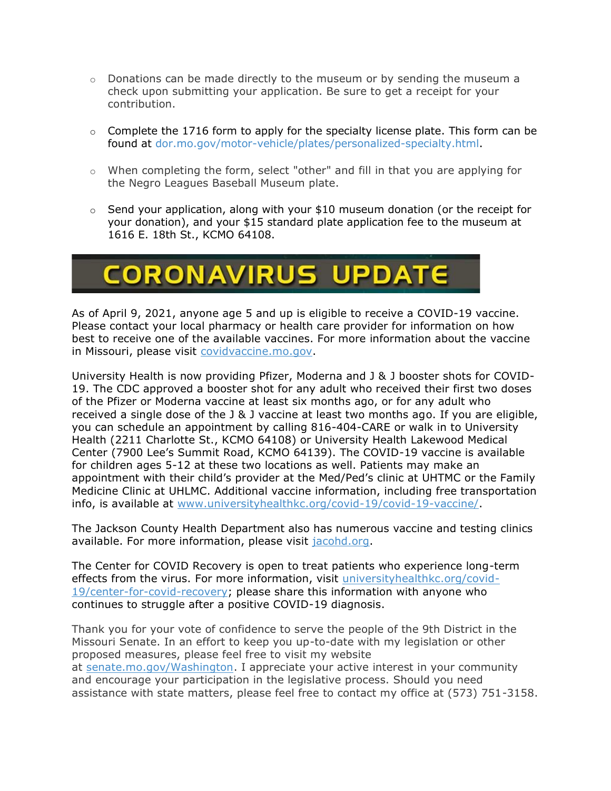- $\circ$  Donations can be made directly to the museum or by sending the museum a check upon submitting your application. Be sure to get a receipt for your contribution.
- $\circ$  Complete the 1716 form to apply for the specialty license plate. This form can be found at [dor.mo.gov/motor-vehicle/plates/personalized-specialty.html.](https://dor.mo.gov/motor-vehicle/plates/personalized-specialty.html)
- o When completing the form, select "other" and fill in that you are applying for the Negro Leagues Baseball Museum plate.
- o Send your application, along with your \$10 museum donation (or the receipt for your donation), and your \$15 standard plate application fee to the museum at 1616 E. 18th St., KCMO 64108.

# **CORONAVIRUS UPDATE**

As of April 9, 2021, anyone age 5 and up is eligible to receive a COVID-19 vaccine. Please contact your local pharmacy or health care provider for information on how best to receive one of the available vaccines. For more information about the vaccine in Missouri, please visit [covidvaccine.mo.gov.](https://covidvaccine.mo.gov/)

University Health is now providing Pfizer, Moderna and J & J booster shots for COVID-19. The CDC approved a booster shot for any adult who received their first two doses of the Pfizer or Moderna vaccine at least six months ago, or for any adult who received a single dose of the J & J vaccine at least two months ago. If you are eligible, you can schedule an appointment by calling 816-404-CARE or walk in to University Health (2211 Charlotte St., KCMO 64108) or University Health Lakewood Medical Center (7900 Lee's Summit Road, KCMO 64139). The COVID-19 vaccine is available for children ages 5-12 at these two locations as well. Patients may make an appointment with their child's provider at the Med/Ped's clinic at UHTMC or the Family Medicine Clinic at UHLMC. Additional vaccine information, including free transportation info, is available at [www.universityhealthkc.org/covid-19/covid-19-vaccine/.](http://www.universityhealthkc.org/covid-19/covid-19-vaccine/)

The Jackson County Health Department also has numerous vaccine and testing clinics available. For more information, please visit [jacohd.org.](https://jacohd.org/)

The Center for COVID Recovery is open to treat patients who experience long-term effects from the virus. For more information, visit [universityhealthkc.org/covid-](https://www.universityhealthkc.org/covid-19/center-for-covid-recovery/)[19/center-for-covid-recovery;](https://www.universityhealthkc.org/covid-19/center-for-covid-recovery/) please share this information with anyone who continues to struggle after a positive COVID-19 diagnosis.

Thank you for your vote of confidence to serve the people of the 9th District in the Missouri Senate. In an effort to keep you up-to-date with my legislation or other proposed measures, please feel free to visit my website at [senate.mo.gov/Washington.](https://www.senate.mo.gov/mem09/) I appreciate your active interest in your community and encourage your participation in the legislative process. Should you need assistance with state matters, please feel free to contact my office at (573) 751-3158.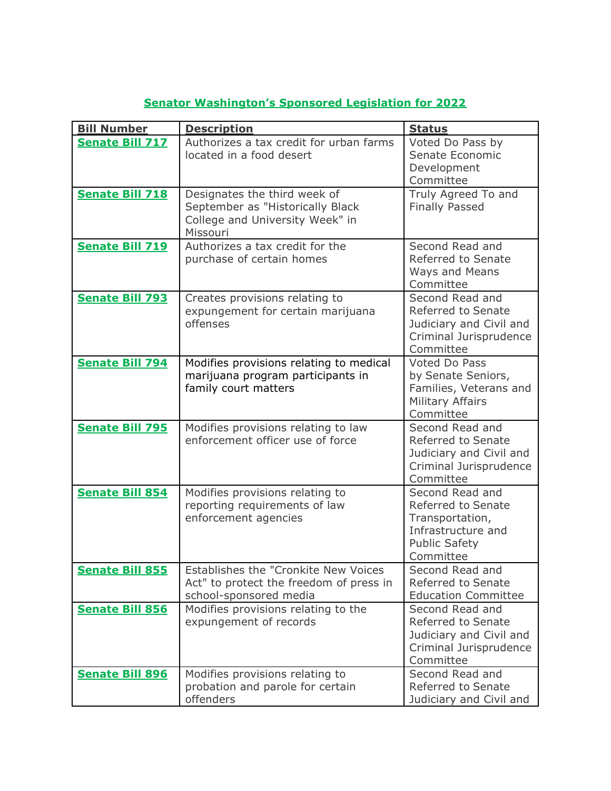| <b>Bill Number</b>     | <b>Description</b>                                                                                              | <b>Status</b>                                                                                                       |
|------------------------|-----------------------------------------------------------------------------------------------------------------|---------------------------------------------------------------------------------------------------------------------|
| <b>Senate Bill 717</b> | Authorizes a tax credit for urban farms<br>located in a food desert                                             | Voted Do Pass by<br>Senate Economic<br>Development<br>Committee                                                     |
| <b>Senate Bill 718</b> | Designates the third week of<br>September as "Historically Black<br>College and University Week" in<br>Missouri | Truly Agreed To and<br><b>Finally Passed</b>                                                                        |
| <b>Senate Bill 719</b> | Authorizes a tax credit for the<br>purchase of certain homes                                                    | Second Read and<br>Referred to Senate<br>Ways and Means<br>Committee                                                |
| <b>Senate Bill 793</b> | Creates provisions relating to<br>expungement for certain marijuana<br>offenses                                 | Second Read and<br>Referred to Senate<br>Judiciary and Civil and<br>Criminal Jurisprudence<br>Committee             |
| <b>Senate Bill 794</b> | Modifies provisions relating to medical<br>marijuana program participants in<br>family court matters            | Voted Do Pass<br>by Senate Seniors,<br>Families, Veterans and<br><b>Military Affairs</b><br>Committee               |
| <b>Senate Bill 795</b> | Modifies provisions relating to law<br>enforcement officer use of force                                         | Second Read and<br>Referred to Senate<br>Judiciary and Civil and<br>Criminal Jurisprudence<br>Committee             |
| <b>Senate Bill 854</b> | Modifies provisions relating to<br>reporting requirements of law<br>enforcement agencies                        | Second Read and<br>Referred to Senate<br>Transportation,<br>Infrastructure and<br><b>Public Safety</b><br>Committee |
| <b>Senate Bill 855</b> | Establishes the "Cronkite New Voices<br>Act" to protect the freedom of press in<br>school-sponsored media       | Second Read and<br>Referred to Senate<br><b>Education Committee</b>                                                 |
| <b>Senate Bill 856</b> | Modifies provisions relating to the<br>expungement of records                                                   | Second Read and<br>Referred to Senate<br>Judiciary and Civil and<br>Criminal Jurisprudence<br>Committee             |
| <b>Senate Bill 896</b> | Modifies provisions relating to<br>probation and parole for certain<br>offenders                                | Second Read and<br>Referred to Senate<br>Judiciary and Civil and                                                    |

# **[Senator Washington's Sponsored Legislation for 2022](https://www.senate.mo.gov/22info/bts_web/sponsoredby.aspx?SessionType=R&legislatorid=451)**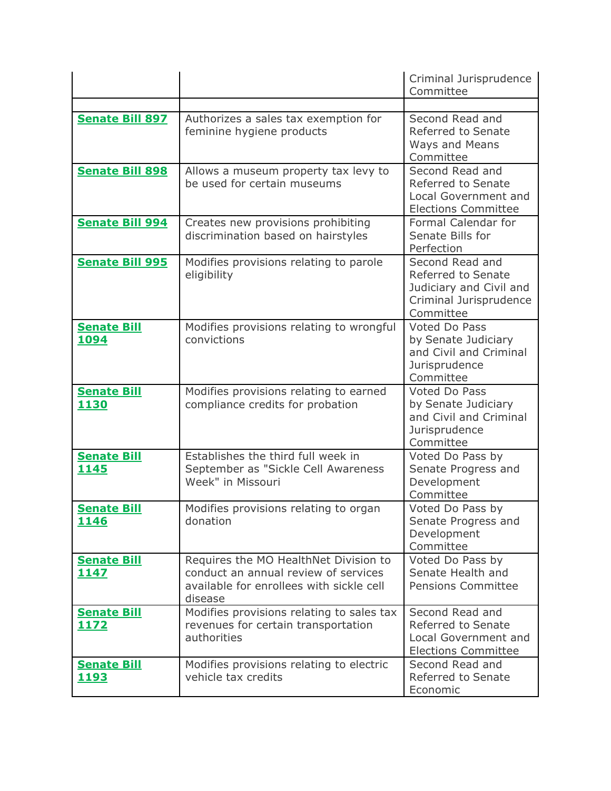|                                   |                                                                                                                                      | Criminal Jurisprudence<br>Committee                                                                     |
|-----------------------------------|--------------------------------------------------------------------------------------------------------------------------------------|---------------------------------------------------------------------------------------------------------|
|                                   |                                                                                                                                      |                                                                                                         |
| <b>Senate Bill 897</b>            | Authorizes a sales tax exemption for<br>feminine hygiene products                                                                    | Second Read and<br>Referred to Senate<br>Ways and Means<br>Committee                                    |
| <b>Senate Bill 898</b>            | Allows a museum property tax levy to<br>be used for certain museums                                                                  | Second Read and<br>Referred to Senate<br>Local Government and<br><b>Elections Committee</b>             |
| <b>Senate Bill 994</b>            | Creates new provisions prohibiting<br>discrimination based on hairstyles                                                             | Formal Calendar for<br>Senate Bills for<br>Perfection                                                   |
| <b>Senate Bill 995</b>            | Modifies provisions relating to parole<br>eligibility                                                                                | Second Read and<br>Referred to Senate<br>Judiciary and Civil and<br>Criminal Jurisprudence<br>Committee |
| <b>Senate Bill</b><br>1094        | Modifies provisions relating to wrongful<br>convictions                                                                              | Voted Do Pass<br>by Senate Judiciary<br>and Civil and Criminal<br>Jurisprudence<br>Committee            |
| <b>Senate Bill</b><br>1130        | Modifies provisions relating to earned<br>compliance credits for probation                                                           | Voted Do Pass<br>by Senate Judiciary<br>and Civil and Criminal<br>Jurisprudence<br>Committee            |
| <b>Senate Bill</b><br>1145        | Establishes the third full week in<br>September as "Sickle Cell Awareness<br>Week" in Missouri                                       | Voted Do Pass by<br>Senate Progress and<br>Development<br>Committee                                     |
| <b>Senate Bill</b><br><u>1146</u> | Modifies provisions relating to organ<br>donation                                                                                    | Voted Do Pass by<br>Senate Progress and<br>Development<br>Committee                                     |
| <b>Senate Bill</b><br>1147        | Requires the MO HealthNet Division to<br>conduct an annual review of services<br>available for enrollees with sickle cell<br>disease | Voted Do Pass by<br>Senate Health and<br><b>Pensions Committee</b>                                      |
| <b>Senate Bill</b><br>1172        | Modifies provisions relating to sales tax<br>revenues for certain transportation<br>authorities                                      | Second Read and<br>Referred to Senate<br>Local Government and<br><b>Elections Committee</b>             |
| <b>Senate Bill</b><br><u>1193</u> | Modifies provisions relating to electric<br>vehicle tax credits                                                                      | Second Read and<br>Referred to Senate<br>Economic                                                       |